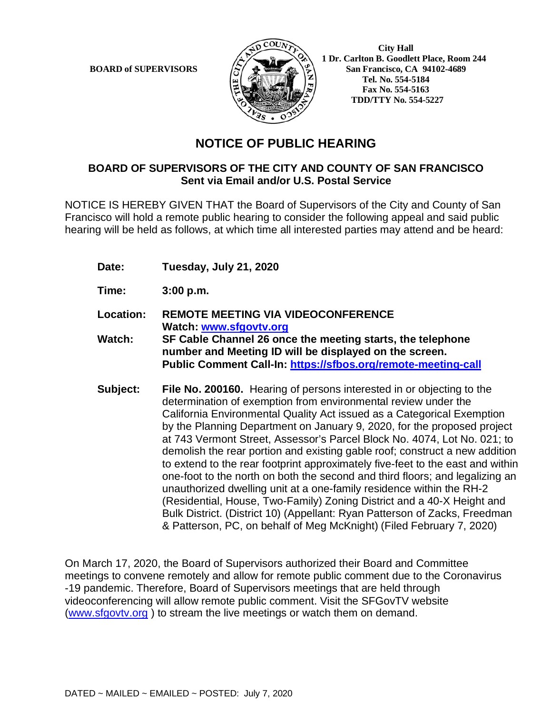

 **1 Dr. Carlton B. Goodlett Place, Room 244 BOARD of SUPERVISORS**  $\left(\frac{S}{I}\right)$   $\oplus$   $\left(\frac{S}{I}\right)$  San Francisco, CA 94102-4689  **Tel. No. 554-5184 Fax No. 554-5163 TDD/TTY No. 554-5227** 

## **NOTICE OF PUBLIC HEARING**

## **BOARD OF SUPERVISORS OF THE CITY AND COUNTY OF SAN FRANCISCO Sent via Email and/or U.S. Postal Service**

NOTICE IS HEREBY GIVEN THAT the Board of Supervisors of the City and County of San Francisco will hold a remote public hearing to consider the following appeal and said public hearing will be held as follows, at which time all interested parties may attend and be heard:

- **Date: Tuesday, July 21, 2020**
- **Time: 3:00 p.m.**
- **Location: REMOTE MEETING VIA VIDEOCONFERENCE Watch: www.sfgovtv.org**
- **Watch: SF Cable Channel 26 once the meeting starts, the telephone number and Meeting ID will be displayed on the screen. Public Comment Call-In: https://sfbos.org/remote-meeting-call**
- **Subject: File No. 200160.** Hearing of persons interested in or objecting to the determination of exemption from environmental review under the California Environmental Quality Act issued as a Categorical Exemption by the Planning Department on January 9, 2020, for the proposed project at 743 Vermont Street, Assessor's Parcel Block No. 4074, Lot No. 021; to demolish the rear portion and existing gable roof; construct a new addition to extend to the rear footprint approximately five-feet to the east and within one-foot to the north on both the second and third floors; and legalizing an unauthorized dwelling unit at a one-family residence within the RH-2 (Residential, House, Two-Family) Zoning District and a 40-X Height and Bulk District. (District 10) (Appellant: Ryan Patterson of Zacks, Freedman & Patterson, PC, on behalf of Meg McKnight) (Filed February 7, 2020)

On March 17, 2020, the Board of Supervisors authorized their Board and Committee meetings to convene remotely and allow for remote public comment due to the Coronavirus -19 pandemic. Therefore, Board of Supervisors meetings that are held through videoconferencing will allow remote public comment. Visit the SFGovTV website (www.sfgovtv.org ) to stream the live meetings or watch them on demand.